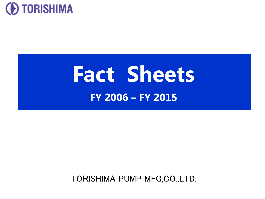

# **Fact Sheets FY 2006 – FY 2015**

TORISHIMA PUMP MFG,CO.,LTD.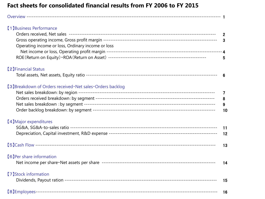#### **Fact sheets for consolidated financial results from FY 2006 to FY 2015**

| [1] Business Performance<br>Operating income or loss, Ordinary income or loss | $\mathbf 2$<br>$\overline{3}$<br>$5\phantom{.0}$ |
|-------------------------------------------------------------------------------|--------------------------------------------------|
| <b>[2] Financial Status</b>                                                   | 6                                                |
| [3] Breakdown of Orders received · Net sales · Orders backlog                 | $\overline{7}$<br>8<br>9<br>10                   |
| [4] Major expenditures                                                        | 11<br>12                                         |
|                                                                               | 13                                               |
| [6] Per share information                                                     | 14                                               |
| [7] Stock information                                                         | 15                                               |
|                                                                               | 16                                               |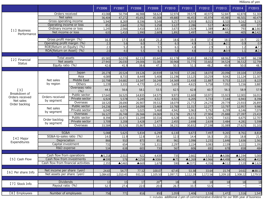Millions of yen

|                    |                                     |                                | <b>FY2006</b>     | FY2007   | <b>FY2008</b>    | FY2009   | FY2010         | FY2011                 | FY2012            | FY2013               | FY2014                 | FY2015                       |
|--------------------|-------------------------------------|--------------------------------|-------------------|----------|------------------|----------|----------------|------------------------|-------------------|----------------------|------------------------|------------------------------|
|                    | Orders received                     |                                | 43.088            | 50.794   | 46.988           | 58.624   | 32,974         | 39.579                 | 40.975            | 52,847               | 42.878                 | 51,304                       |
|                    | Net sales                           |                                | 36,404            | 47,272   | 45,692           | 45,008   | 49,880         | 46,453                 | 45,974            | 45,985               | 46,501                 | 40,479                       |
|                    | Gross operating income              |                                | 5,940             | 8,269    | 8,596            | 9,548    | 9,257          | 8,959                  | 8,015             | 8,320                | 9.162                  | 9,191                        |
|                    | Operating income or loss            |                                | 852               | 2,643    | 2,761            | 3.258    | 3,127          | 2,286                  | 517               | ▲945                 | 400                    | 373                          |
| [1] Business       | Ordinary income or loss             |                                | 1,245             | 2,566    | 3,410            | 3,833    | 3,673          | 2,929                  | 1,389             | ▲632                 | 793                    | $\triangle 1,663$            |
| Performance        | Net income or loss                  |                                | 635               | 1,410    | 1,990            | 2,609    | 1,892          | 1,497                  | 943               | 442                  | 405                    | $\overline{\triangle}$ 2,422 |
|                    | Gross profit margin (%)             |                                | 16.3              | 17.5     | 18.8             | 21.2     | 18.6           | 19.3                   | 17.4              | 18.1                 | 19.7                   | 22.7                         |
|                    | Operating profit margin (%)         |                                | 2.3               | 5.6      | 6.0              | 7.2      | 6.3            | 4.9                    | 1.1               | $\blacktriangle$ 2.1 | 0.9                    | 0.9                          |
|                    |                                     | ROE(Return on Equity)<br>(9/0) |                   | 5.2      | 8.0              | 9.5      | 6.1            | 4.8                    | 2.9               | 1.3                  | 1.2                    | $\blacktriangle$ 7.1         |
|                    | ROA(Return on Asset)                | (9/6)                          | 2.3<br>2.0        | 4.0      | 5.5              | 6.0      | 5.8            | 4.8                    | 2.2               | $\blacktriangle 0.9$ | 1.1                    | $\triangle$ 2.4              |
|                    |                                     |                                |                   |          |                  |          |                |                        |                   |                      |                        |                              |
| 【2】Financial       | Total assets                        |                                | 65,581            | 62,076   | 62,132           | 65,641   | 61,178         | 60,812                 | 68,232            | 68,062               | 71,987                 | 66,198                       |
| <b>Status</b>      | Net assets                          |                                | 27.943            | 26.030   | 24,006           | 31,083   | 30,968         | 31,775                 | 33,602            | 34,524               | 36,532                 | 32,794                       |
|                    | Equity ratio (%)                    |                                | 42.6              | 41.9     | 38.6             | 47.2     | 50.3           | 51.3                   | 48.2              | 49.9                 | 50.0                   | 48.7                         |
|                    |                                     |                                |                   |          |                  |          |                |                        |                   |                      |                        |                              |
|                    |                                     | Japan                          | 20,278            | 20,524   | 19,126           | 20,939   | 18,703         | 17,281                 | 18,070            | 20,096               | 19,104                 | 17,059                       |
|                    |                                     | Asia                           | 4,089             | 8,733    | 8,449            | 5,408    | 11,196         | 13,125                 | 10,259            | 9,042                | 11,124                 | 11,307                       |
|                    | <b>Middle East</b><br>Net sales     |                                | 10.798            | 14,682   | 13,347           | 16,248   | 14,369         | 11,430                 | 11,887            | 9.753                | 11.115                 | 8,225                        |
|                    | by region<br><b>Others</b>          |                                | 1.239             | 3,331    | 4,770            | 2.412    | 5,609          | 4,615                  | 5,758             | 7,092                | 5.156                  | 3,887                        |
| [3]                |                                     | Overseas ratio<br>(9/6)        | 44.3              | 56.6     | 58.1             | 53.5     | 62.5           | 62.8                   | 60.7              | 56.3                 | 58.9                   | 57.9                         |
| Breakdown of       |                                     | Public sector                  | 17,643            | 16,525   | 14,835           | 14,575   | 9,973          | 11,600                 | 10,971            | 15,923               | 12.001                 | 16,013                       |
| Orders received    | Orders received                     | Private sector                 | 6,924             | 5,578    | 5,245            | 4,517    | 4,921          | 6,205                  | 5,733             | 7,144                | 6,943                  | 8,396                        |
| Net sales          | by segment                          | Overseas                       | 18,520            | 28,690   | 26.907           | 39,532   | 18.079         | 21.772                 | 24,270            | 29.779               | 23,933                 | 26,895                       |
| Order backlog      |                                     | Public sector                  | 14,236            | 14,445   | 14,099           | 15,469   | 13,760         | 11,317                 | 12,277            | 13,797               | 12,957                 | 9,980                        |
|                    | Net sales                           | Private sector                 | 6.040             | 6,079    | 5,025            | 5,468    | 4,942          | 5,963                  | 5,792             | 6,299                | 6,146                  | 7,078                        |
|                    | by segment                          | Overseas                       | 16,127            | 26,748   | 26,566           | 24,069   | 31,176         | 29,172                 | 27,904            | 25,888               | 27,397                 | 23,419                       |
|                    |                                     | Public sector                  | 8,394             | 10.473   | 11,209           | 10,316   | 6,528          | 6,811                  | 5,505             | 7,631                | 6,675                  | 12,707                       |
|                    | Order backlog                       | Private sector                 | 3,709             | 3,208    | 3,428            | 2,477    | 2,455          | 2,698                  | 2,639             | 3,484                | 4,281                  | 5,598                        |
|                    | by segment                          | Overseas                       | 33,584            | 35,526   | 35,867           | 51,329   | 38,231         | 30,832                 | 27,198            | 31,089               | 27,625                 | 31,101                       |
|                    |                                     |                                |                   |          |                  |          |                |                        |                   |                      |                        |                              |
|                    | SG&A                                |                                | 5,088             | 5,625    | 5,834            | 6,290    | 6,130          | 6,673                  | 7,497             | 9,265                | 8,761                  | 8,818                        |
| 【4】Major           | SG&A-to-sales ratio (%)             |                                | 14.0              | 11.9     | 12.8             | 14.0     | 12.3           | 14.4                   | 16.3              | 20.1                 | 18.8                   | 21.8                         |
| Expenditures       | Depreciation                        |                                | 866               | 910      | 873              | 851      | 961            | 1,096                  | 1,231             | 1,646                | 1,636                  | 1,561                        |
|                    | Capital investment                  |                                | 731               | 654      | 739              | 1,311    | 2,297          | 2.224                  | 3,083             | 2,139                | 1,221                  | 1,391                        |
|                    | R&D expense                         |                                | 534               | 638      | 603              | 730      | 567            | 606                    | 691               | 678                  | 658                    | 484                          |
|                    |                                     |                                |                   |          |                  |          |                |                        |                   |                      |                        |                              |
|                    | Cash flow from operations           |                                | $\triangle$ 5,218 | 2,511    | 922              | 4,439    | 735            | 2,661                  | 3,513             | ▲4,086               | $\blacktriangle$ 1.194 | 5,000                        |
| [5] Cash Flow      | Cash flow from investments          |                                | ▲599              | 578      | $\triangle$ 1259 | ▲3084    | $\triangle$ 75 | $\blacktriangle$ 1,269 | ▲3,966            | ▲4,498               | ▲345                   | ▲415                         |
|                    | Cash flow from financial activities |                                | 2,355             | ▲1465    | ▲669             | 1,678    | 590            | ▲2371                  | 4,356             | $\triangle$ 112      | 2,120                  | $\triangle 1,624$            |
|                    |                                     |                                |                   |          |                  |          |                |                        |                   |                      |                        |                              |
| [6] Per share Info | Net income per share (yen)          |                                | 24.65             | 54.77    | 77.32            | 100.07   | 67.45          | 53.38                  | 33.64             | 15.74                | 14.61                  | ▲88.13                       |
|                    | Net assets per share (yen)          |                                | 1,084.65          | 1,010.45 | 931.13           | 1,105.50 | 1,097.71       | 1,112.29               | 1,172.56          | 1,209.10             | 1,308.22               | 1,179.57                     |
|                    | <b>Dividends</b>                    |                                | 13                | 15       | 17               | $20*$    | 18             | 18                     | 18                | 18                   | 18                     | 18                           |
| [7] Stock Info     | Payout ratio (%)                    |                                | 52.7              | 27.4     | 22.0             | 20.0     | 26.7           | 33.7                   | $\overline{53.5}$ |                      |                        |                              |
|                    |                                     |                                |                   |          |                  |          |                |                        |                   |                      |                        |                              |
| [8] Employees      | Number of employees                 |                                | 756               | 771      | 816              | 850      | 1,059          | 1,406                  | 1,536             | 1,472                | 1,516                  | 1,547                        |

※ includes additional 2-yen of commemorative dividend for our 90th year of business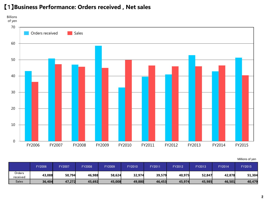

#### 【1】**Business Performance: Orders received , Net sales**

|                    | FY2006 | <b>FY2007</b> | <b>FY2008</b> | FY2009 | <b>FY2010</b> | <b>FY201</b> | FY2012 | FY2013 | <b>FY2014</b> | <b>FY2015</b> |
|--------------------|--------|---------------|---------------|--------|---------------|--------------|--------|--------|---------------|---------------|
| Orders<br>received | 43,088 | 50,794        | 46,988        | 58,624 | 32,974        | 39,579       | 40,975 | 52,847 | 42,878        | 51,304        |
| <b>Sales</b>       | 36,404 | 47,272        | 45,692        | 45,008 | 49,880        | 46,453       | 45,974 | 45,985 | 46,501        | 40,479        |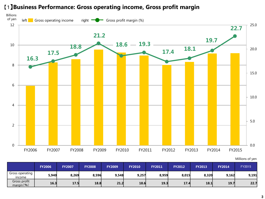#### 【1】**Business Performance: Gross operating income, Gross profit margin**



|                            | <b>FY2006</b> | <b>FY2007</b> | <b>FY2008</b> | <b>FY2009</b> | <b>FY2010</b> | <b>FY2011</b> | <b>FY2012</b> | <b>FY2013</b> | <b>FY2014</b> | <b>FY2015</b> |
|----------------------------|---------------|---------------|---------------|---------------|---------------|---------------|---------------|---------------|---------------|---------------|
| Gross operating<br>income  | 5,940         | 8,269         | 8,596         | 9,548         | 9,257         | 8,959         | 8,015         | 8,320         | 9,162         | 9,191         |
| Gross profit<br>margin( %) | 16.3          | 17.5          | 18.8          | 21.2          | 18.6          | 19.3          | 17.4          | 18.1          | 19.7          | 22.7          |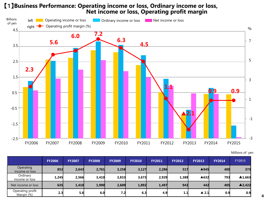## 【1】**Business Performance: Operating income or loss, Ordinary income or loss, Net income or loss, Operating profit margin**



Millions of yen

|                                | <b>FY2006</b> | <b>FY2007</b> | <b>FY2008</b> | <b>FY2009</b>    | <b>FY2010</b> | <b>FY2011</b> | <b>FY2012</b> | <b>FY2013</b>        | <b>FY2014</b>    | <b>FY2015</b>          |
|--------------------------------|---------------|---------------|---------------|------------------|---------------|---------------|---------------|----------------------|------------------|------------------------|
| Operating<br>income or loss    | 852           | 2,643         | 2,761         | 3,258            | 3,127         | 2,286         | 517           | ▲945                 | <b>400</b>       | 373                    |
| Ordinary<br>income or loss     | 1,245         | 2,566         | 3,410         | 3,833            | 3,673         | 2,929         | 1,389         | ▲632                 | 793              | $\blacktriangle$ 1,663 |
| Net income or loss             | 635           | 1,410         | 1,990         | 2,609            | 1,892         | 1,497         | 943           | 442                  | 405              | $\triangle$ 2,422      |
| Operating profit<br>Margin (%) | 2.3           | 5.6           | 6.0           | 7.2 <sub>l</sub> | 6.3           | 4.9           | 1.1           | $\blacktriangle$ 2.1 | 0.9 <sub>l</sub> | 0.9                    |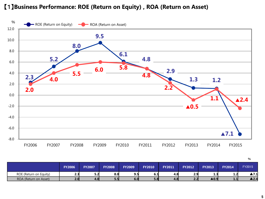#### 【1】**Business Performance: ROE (Return on Equity) , ROA (Return on Asset)**



|                        |               |               |               |               |               |               |               |               |               | $\%$          |
|------------------------|---------------|---------------|---------------|---------------|---------------|---------------|---------------|---------------|---------------|---------------|
|                        | <b>FY2006</b> | <b>FY2007</b> | <b>FY2008</b> | <b>FY2009</b> | <b>FY2010</b> | <b>FY2011</b> | <b>FY2012</b> | <b>FY2013</b> | <b>FY2014</b> | <b>FY2015</b> |
| ROE (Return on Equity) |               | 5.2           | 8.0           | 9.5           | 6.1           | 4.8           | 2.9           | 1.3           | 1.2           | ▲7.1          |
| ROA (Return on Asset)  | 2.0           | 4.0           | 5.5           | 6.0           | 5.8           | 4.8           | 2.2           | ▲0.9          | 1.1           | ▲2.4          |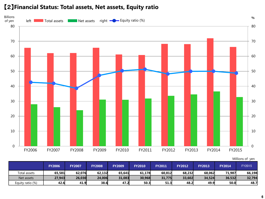#### 【2】**Financial Status: Total assets, Net assets, Equity ratio**



| Millions of yen |  |
|-----------------|--|
|                 |  |

|                  | <b>FY2006</b> | <b>FY2007</b> | <b>FY2008</b> | <b>FY2009</b> | <b>FY2010</b> | <b>FY2011</b> | <b>FY2012</b> | <b>FY2013</b> | <b>FY2014</b> | <b>FY2015</b> |
|------------------|---------------|---------------|---------------|---------------|---------------|---------------|---------------|---------------|---------------|---------------|
| Total assets     | 65,581        | 62,076        | 62,132        | 65.641        | 61,178        | 60,812        | 68,232        | 68,062        | 71,987        | 66,198        |
| Net assets       | 27,943        | 26,030        | 24,006        | 31,083        | 30,968        | 31,775        | 33,602        | 34,524        | 36.532        | 32,794        |
| Equity ratio (%) | 42.6l         | 41.9          | 38.6          | 47.2          | 50.3          | 51.3          | 48.2          | 49.9          | 50.0          | 48.7          |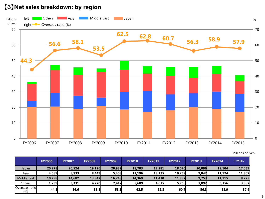#### 【3】**Net sales breakdown: by region**



|                          | <b>FY2006</b> | <b>FY2007</b> | <b>FY2008</b> | <b>FY2009</b> | <b>FY2010</b> | <b>FY2011</b> | <b>FY2012</b> | <b>FY2013</b> | <b>FY2014</b> | <b>FY2015</b> |
|--------------------------|---------------|---------------|---------------|---------------|---------------|---------------|---------------|---------------|---------------|---------------|
| Japan                    | 20,278        | 20,524        | 19,126        | 20,939        | 18,703        | 17,281        | 18,070        | 20,096        | 19,104        | 17,059        |
| Asia                     | 4,089         | 8,733         | 8.449         | 5,408         | 11,196        | 13,125        | 10.259        | 9,042         | 11,124        | 11,307        |
| <b>Middle East</b>       | 10,798        | 14,682        | 13,347        | 16,248        | 14,369        | 11,430        | 11,887        | 9,753         | 11,115        | 8,225         |
| Others                   | 1,239         | 3,331         | 4,770         | 2,412         | 5,609         | 4,615         | 5,758         | 7,092         | 5,156         | 3,887         |
| Overseas ratio<br>$(\%)$ | 44.3          | 56.6          | 58.1          | 53.5          | 62.5l         | 62.8          | 60.7          | 56.3          | 58.9          | 57.9          |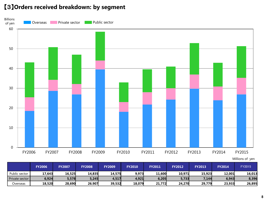#### 【3】**Orders received breakdown: by segment**



|                | <b>FY2006</b> | <b>FY2007</b> | <b>FY2008</b> | <b>FY2009</b> | <b>FY2010</b> | <b>FY2011</b> | <b>FY2012</b> | <b>FY2013</b> | <b>FY2014</b> | FY2015 |
|----------------|---------------|---------------|---------------|---------------|---------------|---------------|---------------|---------------|---------------|--------|
| Public sector  | 17,643        | 16,525        | 14,835        | 14,575        | 9,973         | 11,600        | 10,971        | 15,923        | 12.001        | 16,013 |
| Private sector | 6,924         | 5,578         | 5,245         | 4,517         | 4,921         | 6,205         | 5,733         | 7,144         | 6,943         | 8,396  |
| Overseas       | 18,520        | 28,690        | 26.907        | 39,532        | 18,079        | 21.772        | 24.270        | 29,779        | 23,933        | 26,895 |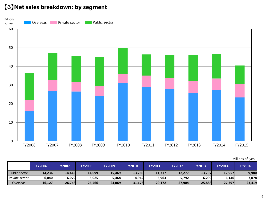#### 【3】**Net sales breakdown: by segment**



|                |               |               |               |               |               |               |               |               |               | Millions of yen |
|----------------|---------------|---------------|---------------|---------------|---------------|---------------|---------------|---------------|---------------|-----------------|
|                | <b>FY2006</b> | <b>FY2007</b> | <b>FY2008</b> | <b>FY2009</b> | <b>FY2010</b> | <b>FY2011</b> | <b>FY2012</b> | <b>FY2013</b> | <b>FY2014</b> | <b>FY2015</b>   |
| Public sector  | 14,236        | 14,445        | 14,099        | 15.469        | 13,760        | 11,317        | 12,277        | 13,797        | 12,957        | 9,980           |
| Private sector | 6,040         | 6,079         | 5,025         | 5,468         | 4,942         | 5,963         | 5,792         | 6,299         | 6,146         | 7,078           |
| Overseas       | 16,127        | 26,748        | 26,566        | 24,069        | 31,176        | 29,172        | 27,904        | 25,888        | 27,397        | 23,419          |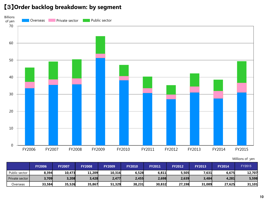#### 【3】**Order backlog breakdown: by segment**



|                | <b>FY2006</b> | <b>FY2007</b> | <b>FY2008</b> | <b>FY2009</b> | <b>FY2010</b> | <b>FY2011</b> | <b>FY2012</b> | <b>FY2013</b> | <b>FY2014</b> | FY2015 |
|----------------|---------------|---------------|---------------|---------------|---------------|---------------|---------------|---------------|---------------|--------|
| Public sector  | 8,394         | 10,473        | 11,209        | 10,316        | 6,528         | 6,811         | 5,505         | 7,631         | 6,675         | 12,707 |
| Private sector | 3,709         | 3,208         | 3,428         | 2,477         | 2,455         | 2,698         | 2,639         | 3,484         | 4,281         | 5,598  |
| Overseas       | 33,584        | 35,526        | 35,867        | 51,329        | 38,231        | 30,832        | 27,198        | 31,089        | 27,625        | 31,101 |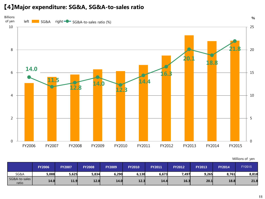#### 【4】**Major expenditure: SG&A, SG&A-to-sales ratio**



|                        | <b>FY2006</b> | <b>FY2007</b> | <b>FY2008</b> | <b>FY2009</b> | <b>FY2010</b> | <b>FY2011</b> | <b>FY2012</b> | <b>FY2013</b> | <b>FY2014</b> | FY2015 |
|------------------------|---------------|---------------|---------------|---------------|---------------|---------------|---------------|---------------|---------------|--------|
| SG&A                   | 5,088         | 5,625         | 5,834         | 6,290         | 6,130         | 6,673         | 7,497         | 9,265         | 8,761         | 8,818  |
| SG&A-to-sales<br>ratio | 14.0          | 11.9          | 12.8          | 14.0          | 12.3          | 14.4          | 16.3          | 20.1          | 18.8          | 21.8   |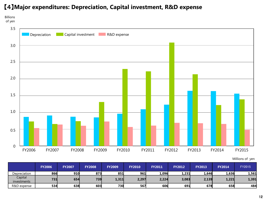#### 【4】**Major expenditures: Depreciation, Capital investment, R&D expense**



|                        | <b>FY2006</b> | <b>FY2007</b> | <b>FY2008</b> | <b>FY2009</b> | <b>FY2010</b> | <b>FY2011</b> | <b>FY2012</b> | <b>FY2013</b> | <b>FY2014</b> | FY2015 |
|------------------------|---------------|---------------|---------------|---------------|---------------|---------------|---------------|---------------|---------------|--------|
| Depreciation           | 866           | 910           | 873           | 851           | 961           | 1,096         | 1,231         | 1,646         | 1,636         | 1,561  |
| Capital<br>investments | 731           | 654           | 739           | 1,311         | 2,297         | 2,224         | 3,083         | 2,139         | 1,221         | 1,391  |
| R&D expense            | 534           | 638           | 603           | 730           | 567           | 606           | 691           | 678           | 658           | 484    |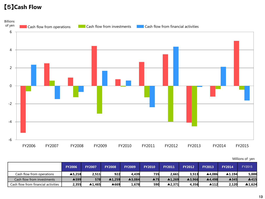#### 【5】**Cash Flow**



|                                     | <b>FY2006</b> | <b>FY2007</b> | <b>FY2008</b> | <b>FY2009</b> | <b>FY2010</b> | <b>FY2011</b>          | <b>FY2012</b>          | <b>FY2013</b> | <b>FY2014</b>          | FY2015 |
|-------------------------------------|---------------|---------------|---------------|---------------|---------------|------------------------|------------------------|---------------|------------------------|--------|
| Cash flow from operations           | ▲5.218        | 2,511         | 922           | 4.439         | 735           | 2.661                  | 3.513                  | ▲4.086        | $\blacktriangle$ 1.194 | 5,000  |
| Cash flow from investments          | ▲599          | 578           | ▲1.259        | ▲3,084        | ▲75           | $\blacktriangle$ 1,269 | $\blacktriangle$ 3,966 | ▲4.498        | <b>A345</b>            | ▲415   |
| Cash flow from financial activities | 2,355         | ▲1.465        | ▲669          | 1,678         | 590           | $\blacktriangle$ 2.371 | 4.356                  | ▲112          | 2,120                  | ▲1.624 |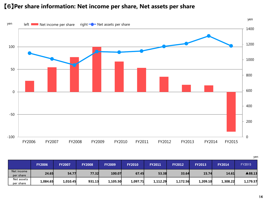#### 【6】**Per share information: Net income per share, Net assets per share**



|                         | <b>FY2006</b> | <b>FY2007</b> | <b>FY2008</b> | <b>FY2009</b> | <b>FY2010</b> | <b>FY2011</b> | <b>FY2012</b> | <b>FY2013</b> | <b>FY2014</b> | FY2015   |
|-------------------------|---------------|---------------|---------------|---------------|---------------|---------------|---------------|---------------|---------------|----------|
| Net income<br>per share | 24.65         | 54.77         | 77.32         | 100.07        | 67.45         | 53.38         | 33.64         | 15.74         | 14.61         | ▲88.13   |
| Net assets<br>per share | 1,084.65      | 1,010.45      | 931.13        | 1,105.50      | 1,097.71      | 1,112.29      | 1,172.56      | 1,209.10      | 1,308.22      | 1,179.57 |

yen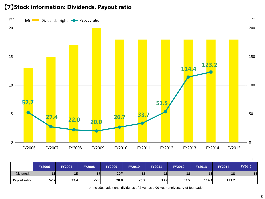#### 【7】**Stock information: Dividends, Payout ratio**



|                  | <b>FY2006</b> | <b>FY2007</b> | <b>FY2008</b> | <b>FY2009</b> | <b>FY2010</b> | <b>FY2011</b> | <b>FY2012</b> | <b>FY2013</b> | <b>FY2014</b> | FY2015 |
|------------------|---------------|---------------|---------------|---------------|---------------|---------------|---------------|---------------|---------------|--------|
| <b>Dividends</b> | ᅩᄀ            | 15            | <b>T</b>      | $20^{\times}$ | 18            | 18            | 18            | 18            | 18            | 18     |
| Payout ratio     | 52.7          | 27.4          | 22.0          | 20.0          | 26.7          | 33.7          | 53.5          | 114.4         | 123.2         | -      |

※ includes additional dividends of 2 yen as a 90-year anniversary of foundation